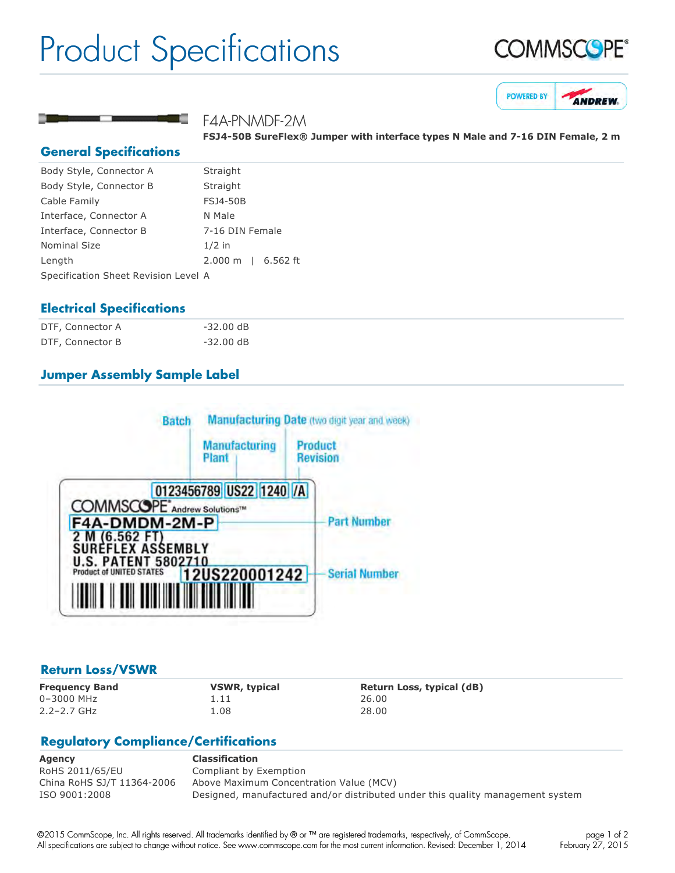## Product Specifications







#### F4A-PNMDF-2M

**FSJ450B SureFlex® Jumper with interface types N Male and 716 DIN Female, 2 m**

#### **General Specifications**

| Body Style, Connector A              | Straight           |
|--------------------------------------|--------------------|
| Body Style, Connector B              | Straight           |
| Cable Family                         | <b>FSJ4-50B</b>    |
| Interface, Connector A               | N Male             |
| Interface, Connector B               | 7-16 DIN Female    |
| <b>Nominal Size</b>                  | $1/2$ in           |
| Length                               | 2.000 m   6.562 ft |
| Specification Sheet Revision Level A |                    |

#### **Electrical Specifications**

| DTF, Connector A | $-32.00$ dB |  |
|------------------|-------------|--|
| DTF, Connector B | $-32.00$ dB |  |

#### **Jumper Assembly Sample Label**



#### **Return Loss/VSWR**

0–3000 MHz 1.11 26.00 2.2–2.7 GHz 1.08 28.00

**Frequency Band VSWR, typical Return Loss, typical (dB)**

### **Regulatory Compliance/Certifications**

| Agency                     | <b>Classification</b>                                                          |
|----------------------------|--------------------------------------------------------------------------------|
| RoHS 2011/65/EU            | Compliant by Exemption                                                         |
| China RoHS SJ/T 11364-2006 | Above Maximum Concentration Value (MCV)                                        |
| ISO 9001:2008              | Designed, manufactured and/or distributed under this quality management system |